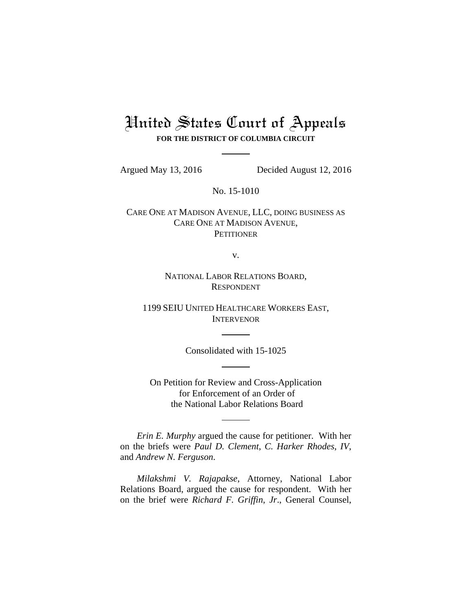# United States Court of Appeals **FOR THE DISTRICT OF COLUMBIA CIRCUIT**

Argued May 13, 2016 Decided August 12, 2016

No. 15-1010

CARE ONE AT MADISON AVENUE, LLC, DOING BUSINESS AS CARE ONE AT MADISON AVENUE, **PETITIONER** 

v.

NATIONAL LABOR RELATIONS BOARD, RESPONDENT

1199 SEIU UNITED HEALTHCARE WORKERS EAST, INTERVENOR

Consolidated with 15-1025

On Petition for Review and Cross-Application for Enforcement of an Order of the National Labor Relations Board

*Erin E. Murphy* argued the cause for petitioner. With her on the briefs were *Paul D. Clement*, *C. Harker Rhodes*, *IV*, and *Andrew N. Ferguson*.

*Milakshmi V. Rajapakse*, Attorney, National Labor Relations Board, argued the cause for respondent. With her on the brief were *Richard F. Griffin*, *Jr*., General Counsel,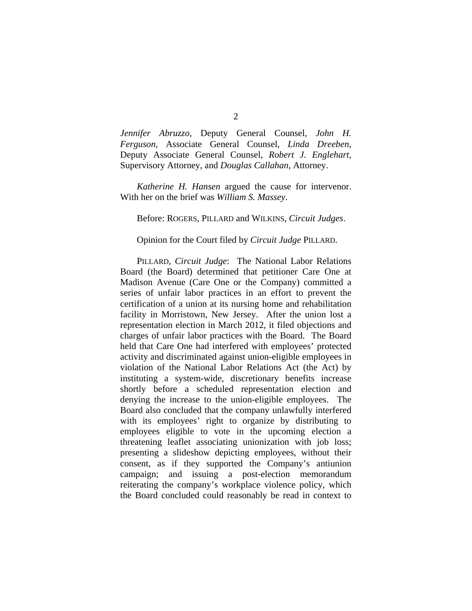*Jennifer Abruzzo*, Deputy General Counsel, *John H. Ferguson*, Associate General Counsel, *Linda Dreeben*, Deputy Associate General Counsel, *Robert J. Englehart*, Supervisory Attorney, and *Douglas Callahan*, Attorney.

*Katherine H. Hansen* argued the cause for intervenor. With her on the brief was *William S. Massey*.

#### Before: ROGERS, PILLARD and WILKINS, *Circuit Judges*.

#### Opinion for the Court filed by *Circuit Judge* PILLARD.

 PILLARD, *Circuit Judge*: The National Labor Relations Board (the Board) determined that petitioner Care One at Madison Avenue (Care One or the Company) committed a series of unfair labor practices in an effort to prevent the certification of a union at its nursing home and rehabilitation facility in Morristown, New Jersey. After the union lost a representation election in March 2012, it filed objections and charges of unfair labor practices with the Board. The Board held that Care One had interfered with employees' protected activity and discriminated against union-eligible employees in violation of the National Labor Relations Act (the Act) by instituting a system-wide, discretionary benefits increase shortly before a scheduled representation election and denying the increase to the union-eligible employees. The Board also concluded that the company unlawfully interfered with its employees' right to organize by distributing to employees eligible to vote in the upcoming election a threatening leaflet associating unionization with job loss; presenting a slideshow depicting employees, without their consent, as if they supported the Company's antiunion campaign; and issuing a post-election memorandum reiterating the company's workplace violence policy, which the Board concluded could reasonably be read in context to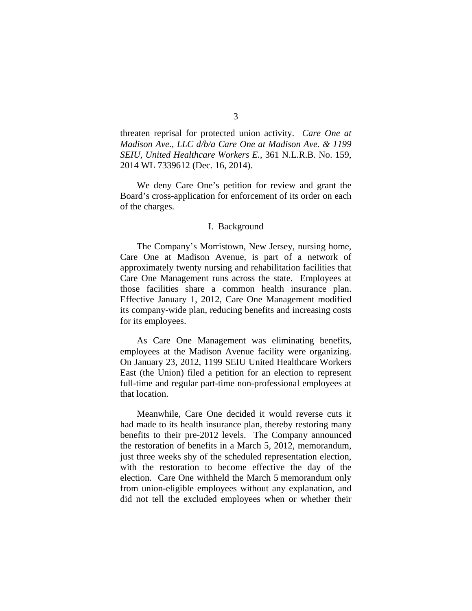threaten reprisal for protected union activity. *Care One at Madison Ave., LLC d/b/a Care One at Madison Ave. & 1199 SEIU, United Healthcare Workers E.*, 361 N.L.R.B. No. 159, 2014 WL 7339612 (Dec. 16, 2014).

We deny Care One's petition for review and grant the Board's cross-application for enforcement of its order on each of the charges.

## I. Background

The Company's Morristown, New Jersey, nursing home, Care One at Madison Avenue, is part of a network of approximately twenty nursing and rehabilitation facilities that Care One Management runs across the state. Employees at those facilities share a common health insurance plan. Effective January 1, 2012, Care One Management modified its company-wide plan, reducing benefits and increasing costs for its employees.

As Care One Management was eliminating benefits, employees at the Madison Avenue facility were organizing. On January 23, 2012, 1199 SEIU United Healthcare Workers East (the Union) filed a petition for an election to represent full-time and regular part-time non-professional employees at that location.

Meanwhile, Care One decided it would reverse cuts it had made to its health insurance plan, thereby restoring many benefits to their pre-2012 levels. The Company announced the restoration of benefits in a March 5, 2012, memorandum, just three weeks shy of the scheduled representation election, with the restoration to become effective the day of the election. Care One withheld the March 5 memorandum only from union-eligible employees without any explanation, and did not tell the excluded employees when or whether their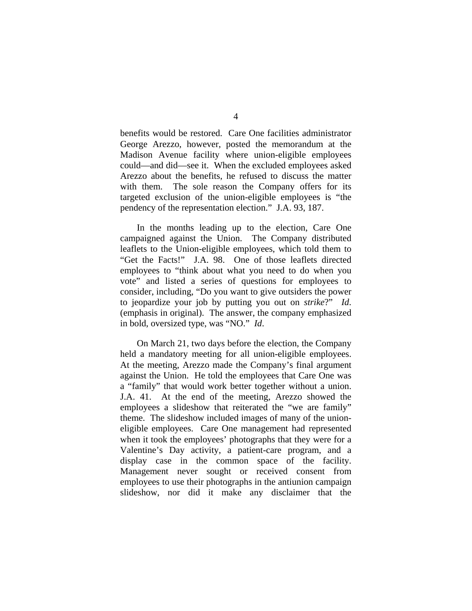benefits would be restored. Care One facilities administrator George Arezzo, however, posted the memorandum at the Madison Avenue facility where union-eligible employees could—and did—see it. When the excluded employees asked Arezzo about the benefits, he refused to discuss the matter with them. The sole reason the Company offers for its targeted exclusion of the union-eligible employees is "the pendency of the representation election." J.A. 93, 187.

 In the months leading up to the election, Care One campaigned against the Union. The Company distributed leaflets to the Union-eligible employees, which told them to "Get the Facts!" J.A. 98. One of those leaflets directed employees to "think about what you need to do when you vote" and listed a series of questions for employees to consider, including, "Do you want to give outsiders the power to jeopardize your job by putting you out on *strike*?" *Id*. (emphasis in original). The answer, the company emphasized in bold, oversized type, was "NO." *Id*.

On March 21, two days before the election, the Company held a mandatory meeting for all union-eligible employees. At the meeting, Arezzo made the Company's final argument against the Union. He told the employees that Care One was a "family" that would work better together without a union. J.A. 41. At the end of the meeting, Arezzo showed the employees a slideshow that reiterated the "we are family" theme. The slideshow included images of many of the unioneligible employees. Care One management had represented when it took the employees' photographs that they were for a Valentine's Day activity, a patient-care program, and a display case in the common space of the facility. Management never sought or received consent from employees to use their photographs in the antiunion campaign slideshow, nor did it make any disclaimer that the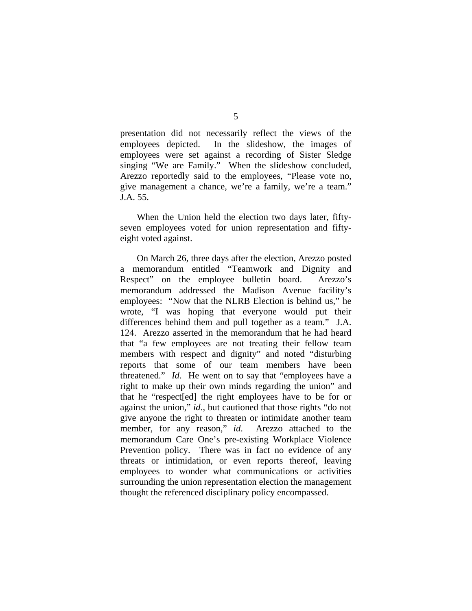presentation did not necessarily reflect the views of the employees depicted. In the slideshow, the images of employees were set against a recording of Sister Sledge singing "We are Family." When the slideshow concluded, Arezzo reportedly said to the employees, "Please vote no, give management a chance, we're a family, we're a team." J.A. 55.

When the Union held the election two days later, fiftyseven employees voted for union representation and fiftyeight voted against.

On March 26, three days after the election, Arezzo posted a memorandum entitled "Teamwork and Dignity and Respect" on the employee bulletin board. Arezzo's memorandum addressed the Madison Avenue facility's employees: "Now that the NLRB Election is behind us," he wrote, "I was hoping that everyone would put their differences behind them and pull together as a team." J.A. 124. Arezzo asserted in the memorandum that he had heard that "a few employees are not treating their fellow team members with respect and dignity" and noted "disturbing reports that some of our team members have been threatened." *Id*. He went on to say that "employees have a right to make up their own minds regarding the union" and that he "respect[ed] the right employees have to be for or against the union," *id*., but cautioned that those rights "do not give anyone the right to threaten or intimidate another team member, for any reason," *id*. Arezzo attached to the memorandum Care One's pre-existing Workplace Violence Prevention policy. There was in fact no evidence of any threats or intimidation, or even reports thereof, leaving employees to wonder what communications or activities surrounding the union representation election the management thought the referenced disciplinary policy encompassed.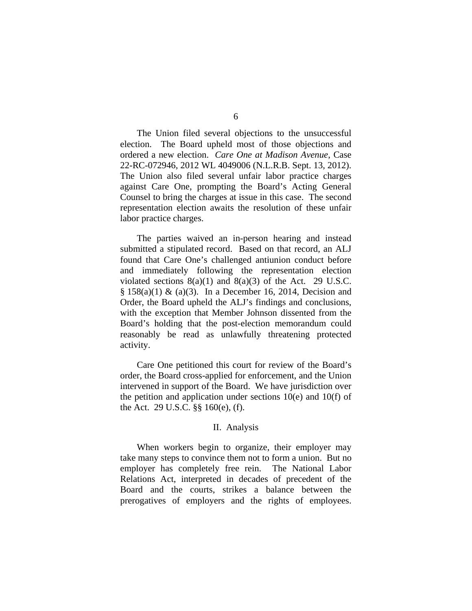The Union filed several objections to the unsuccessful election. The Board upheld most of those objections and ordered a new election. *Care One at Madison Avenue*, Case 22-RC-072946, 2012 WL 4049006 (N.L.R.B. Sept. 13, 2012). The Union also filed several unfair labor practice charges against Care One, prompting the Board's Acting General Counsel to bring the charges at issue in this case. The second representation election awaits the resolution of these unfair labor practice charges.

The parties waived an in-person hearing and instead submitted a stipulated record. Based on that record, an ALJ found that Care One's challenged antiunion conduct before and immediately following the representation election violated sections  $8(a)(1)$  and  $8(a)(3)$  of the Act. 29 U.S.C.  $§ 158(a)(1) \& (a)(3)$ . In a December 16, 2014, Decision and Order, the Board upheld the ALJ's findings and conclusions, with the exception that Member Johnson dissented from the Board's holding that the post-election memorandum could reasonably be read as unlawfully threatening protected activity.

Care One petitioned this court for review of the Board's order, the Board cross-applied for enforcement, and the Union intervened in support of the Board. We have jurisdiction over the petition and application under sections  $10(e)$  and  $10(f)$  of the Act. 29 U.S.C. §§ 160(e), (f).

#### II. Analysis

When workers begin to organize, their employer may take many steps to convince them not to form a union. But no employer has completely free rein. The National Labor Relations Act, interpreted in decades of precedent of the Board and the courts, strikes a balance between the prerogatives of employers and the rights of employees.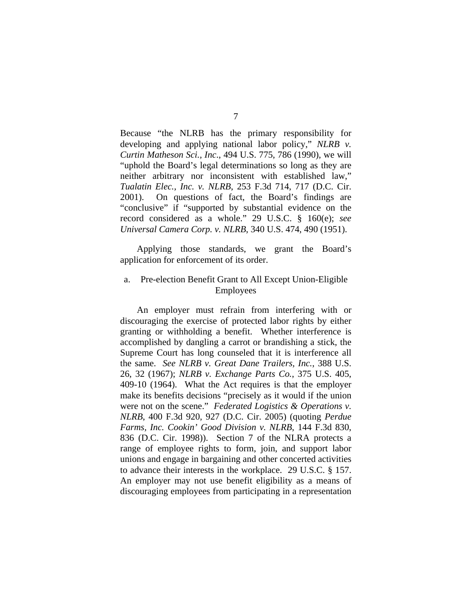Because "the NLRB has the primary responsibility for developing and applying national labor policy," *NLRB v. Curtin Matheson Sci., Inc*., 494 U.S. 775, 786 (1990), we will "uphold the Board's legal determinations so long as they are neither arbitrary nor inconsistent with established law," *Tualatin Elec., Inc. v. NLRB*, 253 F.3d 714, 717 (D.C. Cir. 2001). On questions of fact, the Board's findings are "conclusive" if "supported by substantial evidence on the record considered as a whole." 29 U.S.C. § 160(e); *see Universal Camera Corp. v. NLRB*, 340 U.S. 474, 490 (1951).

Applying those standards, we grant the Board's application for enforcement of its order.

# a. Pre-election Benefit Grant to All Except Union-Eligible Employees

An employer must refrain from interfering with or discouraging the exercise of protected labor rights by either granting or withholding a benefit. Whether interference is accomplished by dangling a carrot or brandishing a stick, the Supreme Court has long counseled that it is interference all the same. *See NLRB v. Great Dane Trailers, Inc.*, 388 U.S. 26, 32 (1967); *NLRB v. Exchange Parts Co.*, 375 U.S. 405, 409-10 (1964). What the Act requires is that the employer make its benefits decisions "precisely as it would if the union were not on the scene." *Federated Logistics & Operations v. NLRB*, 400 F.3d 920, 927 (D.C. Cir. 2005) (quoting *Perdue Farms, Inc. Cookin' Good Division v. NLRB*, 144 F.3d 830, 836 (D.C. Cir. 1998)). Section 7 of the NLRA protects a range of employee rights to form, join, and support labor unions and engage in bargaining and other concerted activities to advance their interests in the workplace. 29 U.S.C. § 157. An employer may not use benefit eligibility as a means of discouraging employees from participating in a representation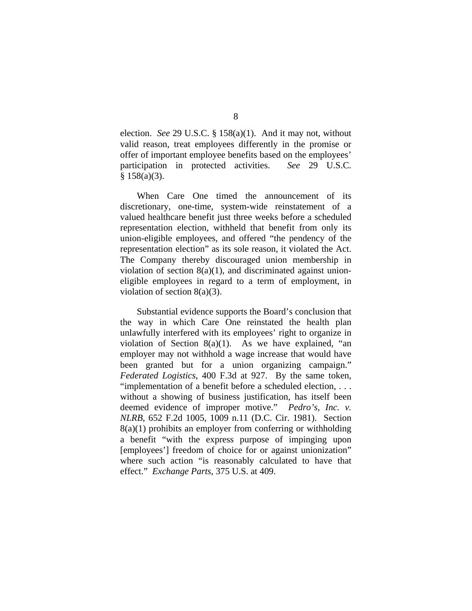election. *See* 29 U.S.C. § 158(a)(1). And it may not, without valid reason, treat employees differently in the promise or offer of important employee benefits based on the employees' participation in protected activities. *See* 29 U.S.C.  $§ 158(a)(3).$ 

When Care One timed the announcement of its discretionary, one-time, system-wide reinstatement of a valued healthcare benefit just three weeks before a scheduled representation election, withheld that benefit from only its union-eligible employees, and offered "the pendency of the representation election" as its sole reason, it violated the Act. The Company thereby discouraged union membership in violation of section  $8(a)(1)$ , and discriminated against unioneligible employees in regard to a term of employment, in violation of section 8(a)(3).

Substantial evidence supports the Board's conclusion that the way in which Care One reinstated the health plan unlawfully interfered with its employees' right to organize in violation of Section  $8(a)(1)$ . As we have explained, "an employer may not withhold a wage increase that would have been granted but for a union organizing campaign." *Federated Logistics*, 400 F.3d at 927. By the same token, "implementation of a benefit before a scheduled election, . . . without a showing of business justification, has itself been deemed evidence of improper motive." *Pedro's, Inc. v. NLRB*, 652 F.2d 1005, 1009 n.11 (D.C. Cir. 1981). Section 8(a)(1) prohibits an employer from conferring or withholding a benefit "with the express purpose of impinging upon [employees'] freedom of choice for or against unionization" where such action "is reasonably calculated to have that effect." *Exchange Parts*, 375 U.S. at 409.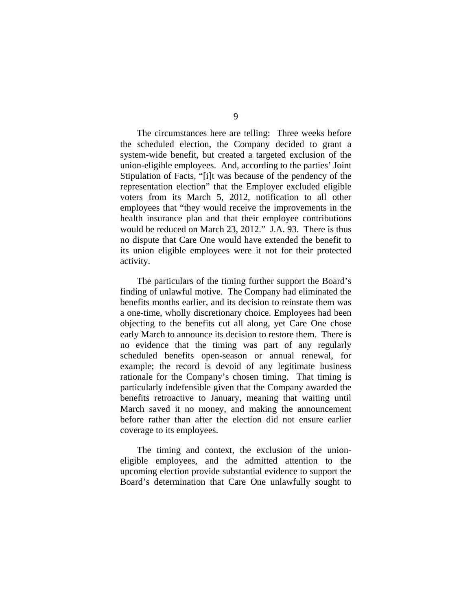The circumstances here are telling: Three weeks before the scheduled election, the Company decided to grant a system-wide benefit, but created a targeted exclusion of the union-eligible employees. And, according to the parties' Joint Stipulation of Facts, "[i]t was because of the pendency of the representation election" that the Employer excluded eligible voters from its March 5, 2012, notification to all other employees that "they would receive the improvements in the health insurance plan and that their employee contributions would be reduced on March 23, 2012." J.A. 93. There is thus no dispute that Care One would have extended the benefit to its union eligible employees were it not for their protected activity.

The particulars of the timing further support the Board's finding of unlawful motive. The Company had eliminated the benefits months earlier, and its decision to reinstate them was a one-time, wholly discretionary choice. Employees had been objecting to the benefits cut all along, yet Care One chose early March to announce its decision to restore them. There is no evidence that the timing was part of any regularly scheduled benefits open-season or annual renewal, for example; the record is devoid of any legitimate business rationale for the Company's chosen timing. That timing is particularly indefensible given that the Company awarded the benefits retroactive to January, meaning that waiting until March saved it no money, and making the announcement before rather than after the election did not ensure earlier coverage to its employees.

The timing and context, the exclusion of the unioneligible employees, and the admitted attention to the upcoming election provide substantial evidence to support the Board's determination that Care One unlawfully sought to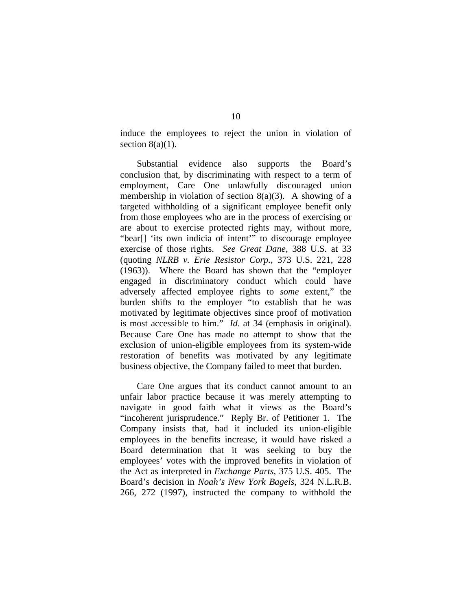induce the employees to reject the union in violation of section  $8(a)(1)$ .

Substantial evidence also supports the Board's conclusion that, by discriminating with respect to a term of employment, Care One unlawfully discouraged union membership in violation of section  $8(a)(3)$ . A showing of a targeted withholding of a significant employee benefit only from those employees who are in the process of exercising or are about to exercise protected rights may, without more, "bear[] 'its own indicia of intent'" to discourage employee exercise of those rights. *See Great Dane*, 388 U.S. at 33 (quoting *NLRB v. Erie Resistor Corp.*, 373 U.S. 221, 228 (1963)). Where the Board has shown that the "employer engaged in discriminatory conduct which could have adversely affected employee rights to *some* extent," the burden shifts to the employer "to establish that he was motivated by legitimate objectives since proof of motivation is most accessible to him." *Id*. at 34 (emphasis in original). Because Care One has made no attempt to show that the exclusion of union-eligible employees from its system-wide restoration of benefits was motivated by any legitimate business objective, the Company failed to meet that burden.

 Care One argues that its conduct cannot amount to an unfair labor practice because it was merely attempting to navigate in good faith what it views as the Board's "incoherent jurisprudence." Reply Br. of Petitioner 1. The Company insists that, had it included its union-eligible employees in the benefits increase, it would have risked a Board determination that it was seeking to buy the employees' votes with the improved benefits in violation of the Act as interpreted in *Exchange Parts*, 375 U.S. 405. The Board's decision in *Noah's New York Bagels*, 324 N.L.R.B. 266, 272 (1997), instructed the company to withhold the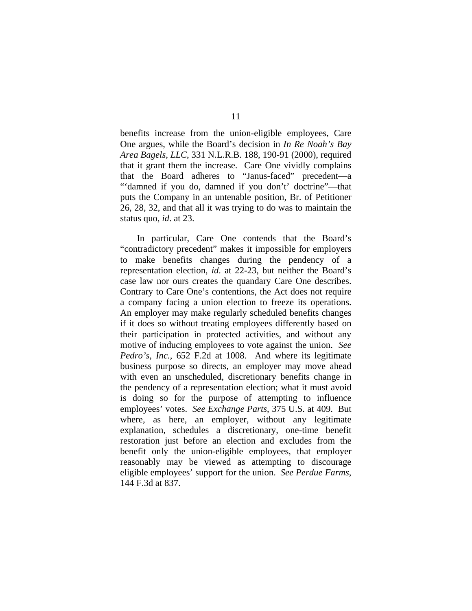benefits increase from the union-eligible employees, Care One argues, while the Board's decision in *In Re Noah's Bay Area Bagels, LLC*, 331 N.L.R.B. 188, 190-91 (2000), required that it grant them the increase. Care One vividly complains that the Board adheres to "Janus-faced" precedent—a "'damned if you do, damned if you don't' doctrine"—that puts the Company in an untenable position, Br. of Petitioner 26, 28, 32, and that all it was trying to do was to maintain the status quo, *id*. at 23.

In particular, Care One contends that the Board's "contradictory precedent" makes it impossible for employers to make benefits changes during the pendency of a representation election, *id*. at 22-23, but neither the Board's case law nor ours creates the quandary Care One describes. Contrary to Care One's contentions, the Act does not require a company facing a union election to freeze its operations. An employer may make regularly scheduled benefits changes if it does so without treating employees differently based on their participation in protected activities, and without any motive of inducing employees to vote against the union. *See Pedro's, Inc.*, 652 F.2d at 1008. And where its legitimate business purpose so directs, an employer may move ahead with even an unscheduled, discretionary benefits change in the pendency of a representation election; what it must avoid is doing so for the purpose of attempting to influence employees' votes. *See Exchange Parts*, 375 U.S. at 409. But where, as here, an employer, without any legitimate explanation, schedules a discretionary, one-time benefit restoration just before an election and excludes from the benefit only the union-eligible employees, that employer reasonably may be viewed as attempting to discourage eligible employees' support for the union. *See Perdue Farms*, 144 F.3d at 837.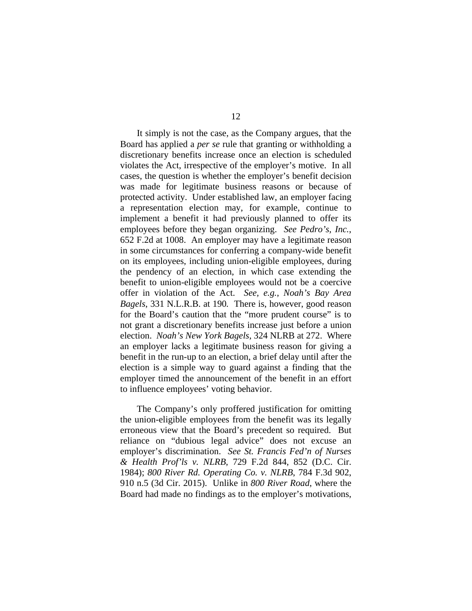It simply is not the case, as the Company argues, that the Board has applied a *per se* rule that granting or withholding a discretionary benefits increase once an election is scheduled violates the Act, irrespective of the employer's motive. In all cases, the question is whether the employer's benefit decision was made for legitimate business reasons or because of protected activity. Under established law, an employer facing a representation election may, for example, continue to implement a benefit it had previously planned to offer its employees before they began organizing. *See Pedro's, Inc.*, 652 F.2d at 1008. An employer may have a legitimate reason in some circumstances for conferring a company-wide benefit on its employees, including union-eligible employees, during the pendency of an election, in which case extending the benefit to union-eligible employees would not be a coercive offer in violation of the Act. *See, e.g.*, *Noah's Bay Area Bagels*, 331 N.L.R.B. at 190*.* There is, however, good reason for the Board's caution that the "more prudent course" is to not grant a discretionary benefits increase just before a union election. *Noah's New York Bagels*, 324 NLRB at 272. Where an employer lacks a legitimate business reason for giving a benefit in the run-up to an election, a brief delay until after the election is a simple way to guard against a finding that the employer timed the announcement of the benefit in an effort to influence employees' voting behavior.

The Company's only proffered justification for omitting the union-eligible employees from the benefit was its legally erroneous view that the Board's precedent so required. But reliance on "dubious legal advice" does not excuse an employer's discrimination. *See St. Francis Fed'n of Nurses & Health Prof'ls v. NLRB*, 729 F.2d 844, 852 (D.C. Cir. 1984); *800 River Rd. Operating Co. v. NLRB*, 784 F.3d 902, 910 n.5 (3d Cir. 2015). Unlike in *800 River Road*, where the Board had made no findings as to the employer's motivations,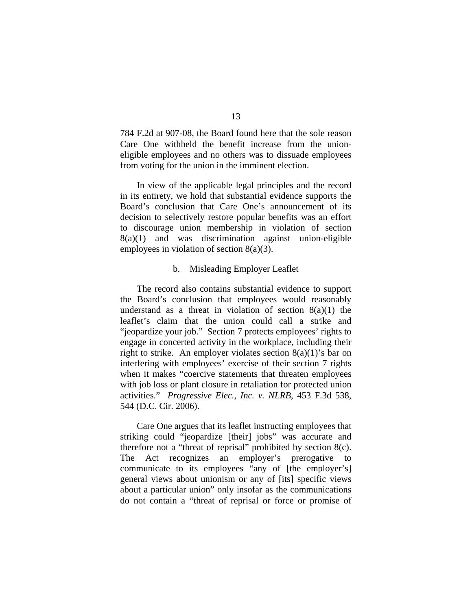784 F.2d at 907-08, the Board found here that the sole reason Care One withheld the benefit increase from the unioneligible employees and no others was to dissuade employees from voting for the union in the imminent election.

In view of the applicable legal principles and the record in its entirety, we hold that substantial evidence supports the Board's conclusion that Care One's announcement of its decision to selectively restore popular benefits was an effort to discourage union membership in violation of section  $8(a)(1)$  and was discrimination against union-eligible employees in violation of section 8(a)(3).

## b. Misleading Employer Leaflet

The record also contains substantial evidence to support the Board's conclusion that employees would reasonably understand as a threat in violation of section  $8(a)(1)$  the leaflet's claim that the union could call a strike and "jeopardize your job." Section 7 protects employees' rights to engage in concerted activity in the workplace, including their right to strike. An employer violates section  $8(a)(1)$ 's bar on interfering with employees' exercise of their section 7 rights when it makes "coercive statements that threaten employees with job loss or plant closure in retaliation for protected union activities." *Progressive Elec., Inc. v. NLRB*, 453 F.3d 538, 544 (D.C. Cir. 2006).

Care One argues that its leaflet instructing employees that striking could "jeopardize [their] jobs" was accurate and therefore not a "threat of reprisal" prohibited by section 8(c). The Act recognizes an employer's prerogative to communicate to its employees "any of [the employer's] general views about unionism or any of [its] specific views about a particular union" only insofar as the communications do not contain a "threat of reprisal or force or promise of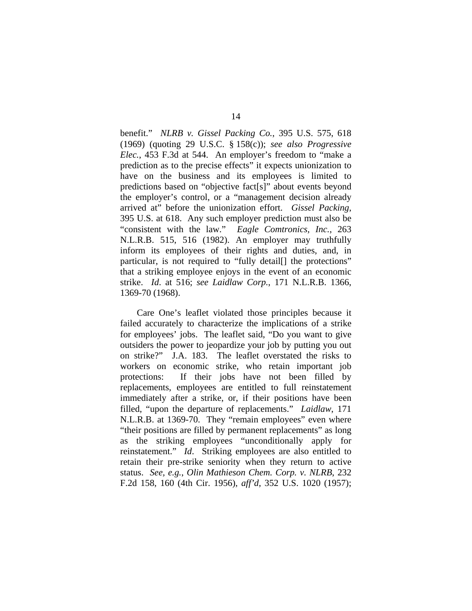benefit." *NLRB v. Gissel Packing Co.*, 395 U.S. 575, 618 (1969) (quoting 29 U.S.C. § 158(c)); *see also Progressive Elec.*, 453 F.3d at 544. An employer's freedom to "make a prediction as to the precise effects" it expects unionization to have on the business and its employees is limited to predictions based on "objective fact[s]" about events beyond the employer's control, or a "management decision already arrived at" before the unionization effort. *Gissel Packing*, 395 U.S. at 618. Any such employer prediction must also be "consistent with the law." *Eagle Comtronics, Inc.*, 263 N.L.R.B. 515, 516 (1982). An employer may truthfully inform its employees of their rights and duties, and, in particular, is not required to "fully detail[] the protections" that a striking employee enjoys in the event of an economic strike. *Id*. at 516; *see Laidlaw Corp.*, 171 N.L.R.B. 1366, 1369-70 (1968).

 Care One's leaflet violated those principles because it failed accurately to characterize the implications of a strike for employees' jobs. The leaflet said, "Do you want to give outsiders the power to jeopardize your job by putting you out on strike?" J.A. 183. The leaflet overstated the risks to workers on economic strike, who retain important job protections: If their jobs have not been filled by replacements, employees are entitled to full reinstatement immediately after a strike, or, if their positions have been filled, "upon the departure of replacements." *Laidlaw*, 171 N.L.R.B. at 1369-70. They "remain employees" even where "their positions are filled by permanent replacements" as long as the striking employees "unconditionally apply for reinstatement." *Id*. Striking employees are also entitled to retain their pre-strike seniority when they return to active status. *See, e.g.*, *Olin Mathieson Chem. Corp. v. NLRB*, 232 F.2d 158, 160 (4th Cir. 1956), *aff'd*, 352 U.S. 1020 (1957);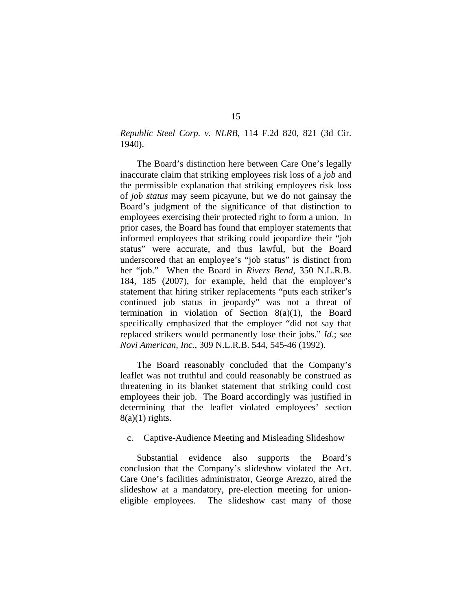*Republic Steel Corp. v. NLRB*, 114 F.2d 820, 821 (3d Cir. 1940).

The Board's distinction here between Care One's legally inaccurate claim that striking employees risk loss of a *job* and the permissible explanation that striking employees risk loss of *job status* may seem picayune, but we do not gainsay the Board's judgment of the significance of that distinction to employees exercising their protected right to form a union. In prior cases, the Board has found that employer statements that informed employees that striking could jeopardize their "job status" were accurate, and thus lawful, but the Board underscored that an employee's "job status" is distinct from her "job." When the Board in *Rivers Bend*, 350 N.L.R.B. 184, 185 (2007), for example, held that the employer's statement that hiring striker replacements "puts each striker's continued job status in jeopardy" was not a threat of termination in violation of Section  $8(a)(1)$ , the Board specifically emphasized that the employer "did not say that replaced strikers would permanently lose their jobs." *Id*.; *see Novi American, Inc.*, 309 N.L.R.B. 544, 545-46 (1992).

The Board reasonably concluded that the Company's leaflet was not truthful and could reasonably be construed as threatening in its blanket statement that striking could cost employees their job. The Board accordingly was justified in determining that the leaflet violated employees' section  $8(a)(1)$  rights.

# c. Captive-Audience Meeting and Misleading Slideshow

Substantial evidence also supports the Board's conclusion that the Company's slideshow violated the Act. Care One's facilities administrator, George Arezzo, aired the slideshow at a mandatory, pre-election meeting for unioneligible employees. The slideshow cast many of those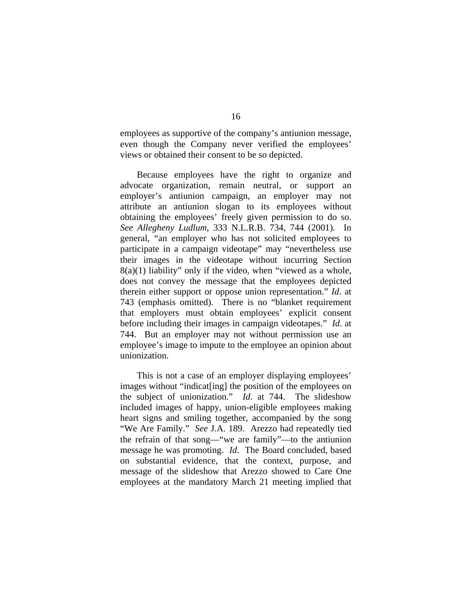employees as supportive of the company's antiunion message, even though the Company never verified the employees' views or obtained their consent to be so depicted.

Because employees have the right to organize and advocate organization, remain neutral, or support an employer's antiunion campaign, an employer may not attribute an antiunion slogan to its employees without obtaining the employees' freely given permission to do so. *See Allegheny Ludlum*, 333 N.L.R.B. 734, 744 (2001). In general, "an employer who has not solicited employees to participate in a campaign videotape" may "nevertheless use their images in the videotape without incurring Section  $8(a)(1)$  liability" only if the video, when "viewed as a whole, does not convey the message that the employees depicted therein either support or oppose union representation." *Id*. at 743 (emphasis omitted). There is no "blanket requirement that employers must obtain employees' explicit consent before including their images in campaign videotapes." *Id*. at 744. But an employer may not without permission use an employee's image to impute to the employee an opinion about unionization.

This is not a case of an employer displaying employees' images without "indicat[ing] the position of the employees on the subject of unionization." *Id*. at 744. The slideshow included images of happy, union-eligible employees making heart signs and smiling together, accompanied by the song "We Are Family." *See* J.A. 189. Arezzo had repeatedly tied the refrain of that song—"we are family"—to the antiunion message he was promoting. *Id*. The Board concluded, based on substantial evidence, that the context, purpose, and message of the slideshow that Arezzo showed to Care One employees at the mandatory March 21 meeting implied that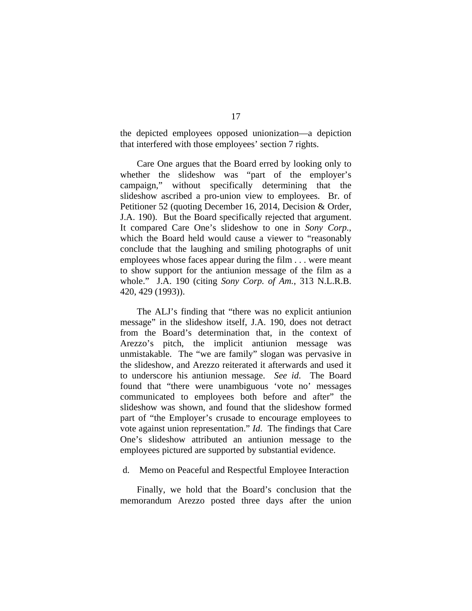the depicted employees opposed unionization—a depiction that interfered with those employees' section 7 rights.

Care One argues that the Board erred by looking only to whether the slideshow was "part of the employer's campaign," without specifically determining that the slideshow ascribed a pro-union view to employees. Br. of Petitioner 52 (quoting December 16, 2014, Decision & Order, J.A. 190). But the Board specifically rejected that argument. It compared Care One's slideshow to one in *Sony Corp.*, which the Board held would cause a viewer to "reasonably conclude that the laughing and smiling photographs of unit employees whose faces appear during the film . . . were meant to show support for the antiunion message of the film as a whole." J.A. 190 (citing *Sony Corp. of Am.*, 313 N.L.R.B. 420, 429 (1993)).

The ALJ's finding that "there was no explicit antiunion message" in the slideshow itself, J.A. 190, does not detract from the Board's determination that, in the context of Arezzo's pitch, the implicit antiunion message was unmistakable. The "we are family" slogan was pervasive in the slideshow, and Arezzo reiterated it afterwards and used it to underscore his antiunion message. *See id*. The Board found that "there were unambiguous 'vote no' messages communicated to employees both before and after" the slideshow was shown, and found that the slideshow formed part of "the Employer's crusade to encourage employees to vote against union representation." *Id*. The findings that Care One's slideshow attributed an antiunion message to the employees pictured are supported by substantial evidence.

d. Memo on Peaceful and Respectful Employee Interaction

Finally, we hold that the Board's conclusion that the memorandum Arezzo posted three days after the union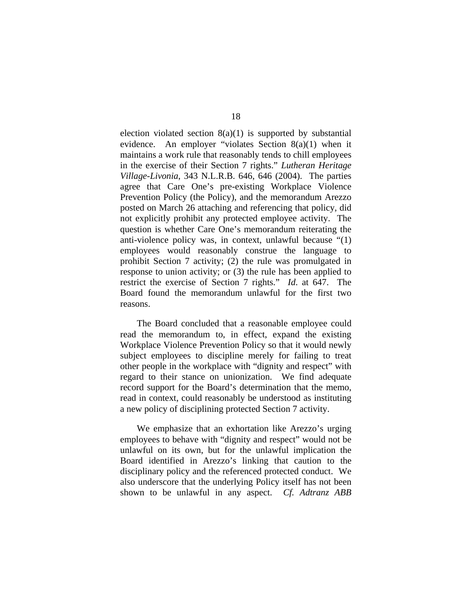election violated section  $8(a)(1)$  is supported by substantial evidence. An employer "violates Section 8(a)(1) when it maintains a work rule that reasonably tends to chill employees in the exercise of their Section 7 rights." *Lutheran Heritage Village-Livonia*, 343 N.L.R.B. 646, 646 (2004). The parties agree that Care One's pre-existing Workplace Violence Prevention Policy (the Policy), and the memorandum Arezzo posted on March 26 attaching and referencing that policy, did not explicitly prohibit any protected employee activity. The question is whether Care One's memorandum reiterating the anti-violence policy was, in context, unlawful because "(1) employees would reasonably construe the language to prohibit Section 7 activity; (2) the rule was promulgated in response to union activity; or (3) the rule has been applied to restrict the exercise of Section 7 rights." *Id*. at 647. The Board found the memorandum unlawful for the first two reasons.

The Board concluded that a reasonable employee could read the memorandum to, in effect, expand the existing Workplace Violence Prevention Policy so that it would newly subject employees to discipline merely for failing to treat other people in the workplace with "dignity and respect" with regard to their stance on unionization. We find adequate record support for the Board's determination that the memo, read in context, could reasonably be understood as instituting a new policy of disciplining protected Section 7 activity.

We emphasize that an exhortation like Arezzo's urging employees to behave with "dignity and respect" would not be unlawful on its own, but for the unlawful implication the Board identified in Arezzo's linking that caution to the disciplinary policy and the referenced protected conduct. We also underscore that the underlying Policy itself has not been shown to be unlawful in any aspect. *Cf. Adtranz ABB*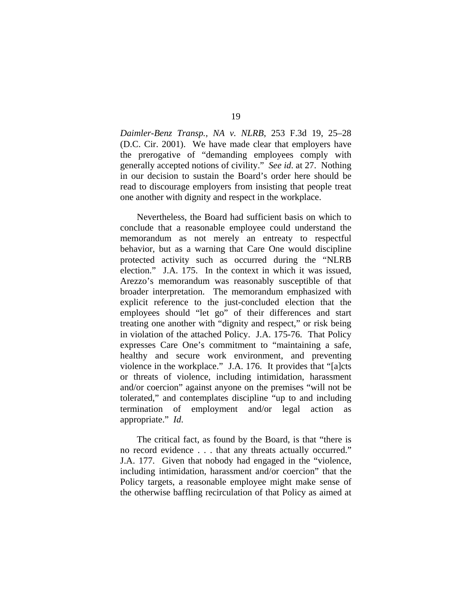*Daimler-Benz Transp., NA v. NLRB*, 253 F.3d 19, 25–28 (D.C. Cir. 2001). We have made clear that employers have the prerogative of "demanding employees comply with generally accepted notions of civility." *See id*. at 27. Nothing in our decision to sustain the Board's order here should be read to discourage employers from insisting that people treat one another with dignity and respect in the workplace.

Nevertheless, the Board had sufficient basis on which to conclude that a reasonable employee could understand the memorandum as not merely an entreaty to respectful behavior, but as a warning that Care One would discipline protected activity such as occurred during the "NLRB election." J.A. 175. In the context in which it was issued, Arezzo's memorandum was reasonably susceptible of that broader interpretation. The memorandum emphasized with explicit reference to the just-concluded election that the employees should "let go" of their differences and start treating one another with "dignity and respect," or risk being in violation of the attached Policy. J.A. 175-76. That Policy expresses Care One's commitment to "maintaining a safe, healthy and secure work environment, and preventing violence in the workplace." J.A. 176. It provides that "[a]cts or threats of violence, including intimidation, harassment and/or coercion" against anyone on the premises "will not be tolerated," and contemplates discipline "up to and including termination of employment and/or legal action as appropriate." *Id*.

The critical fact, as found by the Board, is that "there is no record evidence . . . that any threats actually occurred." J.A. 177. Given that nobody had engaged in the "violence, including intimidation, harassment and/or coercion" that the Policy targets, a reasonable employee might make sense of the otherwise baffling recirculation of that Policy as aimed at